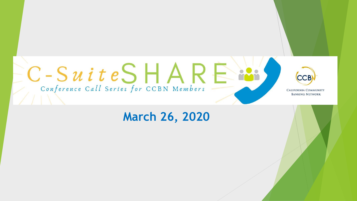

# **March 26, 2020**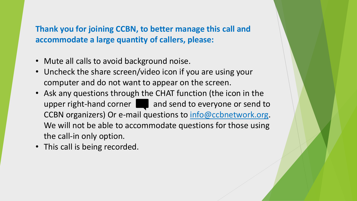**Thank you for joining CCBN, to better manage this call and accommodate a large quantity of callers, please:**

- Mute all calls to avoid background noise.
- Uncheck the share screen/video icon if you are using your computer and do not want to appear on the screen.
- Ask any questions through the CHAT function (the icon in the upper right-hand corner  $\Box$  and send to everyone or send to CCBN organizers) Or e-mail questions to [info@ccbnetwork.org](mailto:info@ccbnetwork.org). We will not be able to accommodate questions for those using the call-in only option.
- This call is being recorded.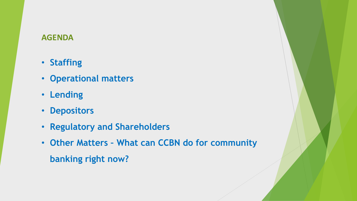#### **AGENDA**

- **Staffing**
- **Operational matters**
- **Lending**
- **Depositors**
- **Regulatory and Shareholders**
- **Other Matters – What can CCBN do for community banking right now?**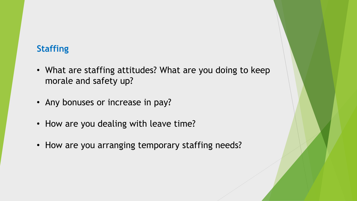### **Staffing**

- What are staffing attitudes? What are you doing to keep morale and safety up?
- Any bonuses or increase in pay?
- How are you dealing with leave time?
- How are you arranging temporary staffing needs?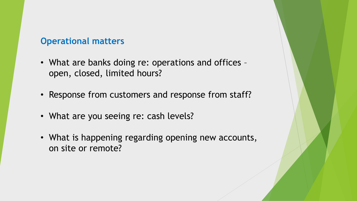#### **Operational matters**

- What are banks doing re: operations and offices open, closed, limited hours?
- Response from customers and response from staff?
- What are you seeing re: cash levels?
- What is happening regarding opening new accounts, on site or remote?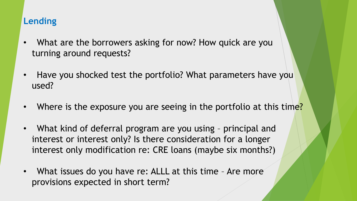## **Lending**

- What are the borrowers asking for now? How quick are you turning around requests?
- Have you shocked test the portfolio? What parameters have you used?
- Where is the exposure you are seeing in the portfolio at this time?
- What kind of deferral program are you using principal and interest or interest only? Is there consideration for a longer interest only modification re: CRE loans (maybe six months?)
- What issues do you have re: ALLL at this time Are more provisions expected in short term?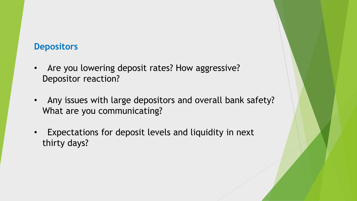#### **Depositors**

- Are you lowering deposit rates? How aggressive? Depositor reaction?
- Any issues with large depositors and overall bank safety? What are you communicating?
- Expectations for deposit levels and liquidity in next thirty days?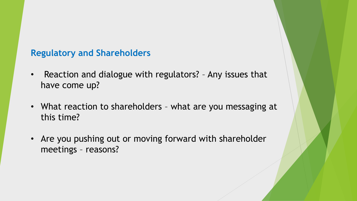## **Regulatory and Shareholders**

- Reaction and dialogue with regulators? Any issues that have come up?
- What reaction to shareholders what are you messaging at this time?
- Are you pushing out or moving forward with shareholder meetings – reasons?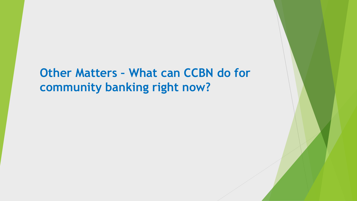**Other Matters – What can CCBN do for community banking right now?**